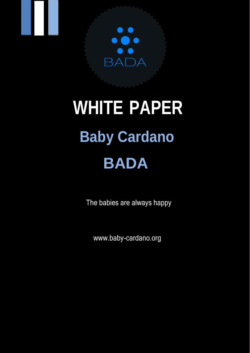

# **WHITE PAPER Baby Cardano BADA**

The babies are always happy

[www.baby-cardano.org](http://www.baby-cardano.org/)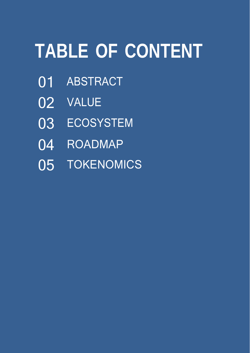# **TABLE OF CONTENT**

- ABSTRACT
- VALUE
- ECOSYSTEM
- ROADMAP
- 05 TOKENOMICS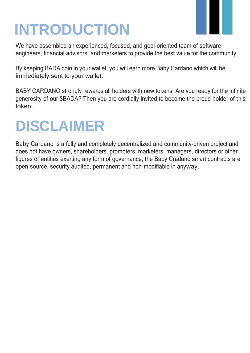## **INTRODUCTION**

We have assembled an experienced, focused, and goal-oriented team of software engineers, financial advisors, and marketers to provide the best value for the community.

By keeping BADA coin in your wallet, you will earn more Baby Cardano which will be immediately sent to your wallet.

BABY CARDANO strongly rewards all holders with new tokens. Are you ready for the infinite generosity of our \$BADA? Then you are cordially invited to become the proud holder of this token.

## **DISCLAIMER**

Baby Cardano is a fully and completely decentralized and community-driven project and does not have owners, shareholders, promoters, marketers, managers, directors or other figures or entities exerting any form of governance; the Baby Cradano smart contracts are open-source, security audited, permanent and non-modifiable in anyway.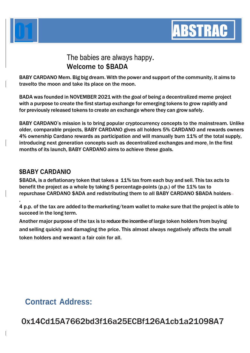



T

#### The babies are always happy. Welcome to \$BADA

BABY CARDANO Mem. Big big dream. With the power and support of the community, it aims to travelto the moon and take its place on the moon.

BADA was founded in NOVEMBER 2021 with the goal of being a decentralized meme project with a purpose to create the first startup exchange for emerging tokens to grow rapidly and for previously released tokens to create an exchange where they can grow safely.

BABY CARDANO's mission is to bring popular cryptocurrency concepts to the mainstream. Unlike older, comparable projects, BABY CARDANO gives all holders 5% CARDANO and rewards owners 4% ownership Cardano rewards as participation and will manually burn 11% of the total supply, introducing next generation concepts such as decentralized exchanges and more. In the first months of its launch, BABY CARDANO aims to achieve these goals.

#### **\$BABY CARDANIO**

.

\$BADA, is a deflationary token that takes a 11% tax from each buy and sell. This tax acts to benefit the project as a whole by taking 5 percentage-points (p.p.) of the 11% tax to repurchase CARDANO \$ADA and redistributing them to all BABY CARDANO \$BADA holders

4 p.p. of the tax are added to the marketing/team wallet to make sure that the project is able to succeed in the long term.

Another major purpose of the tax is to reduce the incentive of large token holders from buying and selling quickly and damaging the price. This almost always negatively affects the small token holders and wewant a fair coin for all.

#### **Contract Address:**

0x14Cd15A7662bd3f16a25ECBf126A1cb1a21098A7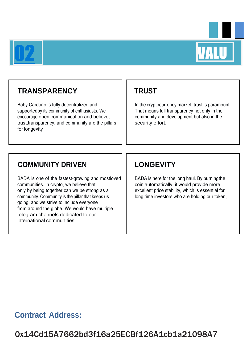



### 22 **TRANSPARENCY**

Baby Cardano is fully decentralized and supportedby its community of enthusiasts. We encourage open communication and believe, trust,transparency, and community are the pillars for longevity

#### **TRUST**

In the cryptocurrency market, trust is paramount. That means full transparency not only in the community and development but also in the security effort.

#### **COMMUNITY DRIVEN**

BADA is one of the fastest-growing and mostloved communities. In crypto, we believe that only by being together can we be strong as a community. Community is the pillar that keeps us going, and we strive to include everyone from around the globe. We would have multiple telegram channels dedicated to our international communities.

#### **LONGEVITY**

BADA is here for the long haul. By burningthe coin automatically, it would provide more excellent price stability, which is essential for long time investors who are holding our token,

#### **Contract Address:**

0x14Cd15A7662bd3f16a25ECBf126A1cb1a21098A7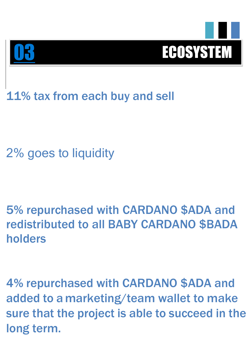

11% tax from each buy and sell

2% goes to liquidity

03

5% repurchased with CARDANO \$ADA and redistributed to all BABY CARDANO \$BADA holders

4% repurchased with CARDANO \$ADA and added to a marketing/team wallet to make sure that the project is able to succeed in the long term.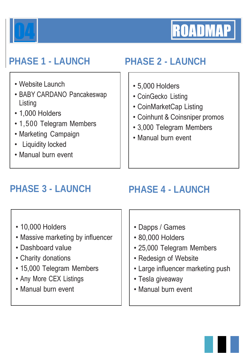



- Website Launch
- BABY CARDANO Pancakeswap **Listing**
- 1,000 Holders
- 1,500 Telegram Members
- Marketing Campaign
- Liquidity locked
- Manual burn event

### **PHASE 1 - LAUNCH PHASE 2 - LAUNCH** 44 BP

- 5,000 Holders
- CoinGecko Listing
- CoinMarketCap Listing
- Coinhunt & Coinsniper promos
- 3,000 Telegram Members
- Manual burn event

- 10,000 Holders
- Massive marketing by influencer
- Dashboard value
- Charity donations
- 15,000 Telegram Members
- Any More CEX Listings
- Manual burn event

### **PHASE 3 - LAUNCH PHASE 4 - LAUNCH**

- Dapps / Games
- 80,000 Holders
- 25,000 Telegram Members
- Redesign of Website
- Large influencer marketing push
- Tesla giveaway
- Manual burn event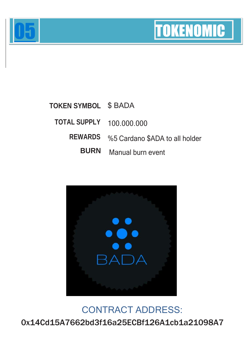



S

#### **TOKEN SYMBOL TOTAL SUPPLY REWARDS BURN** \$ BADA 100.000.000 %5 Cardano \$ADA to all holder Manual burn event



### CONTRACT ADDRESS: 0x14Cd15A7662bd3f16a25ECBf126A1cb1a21098A7